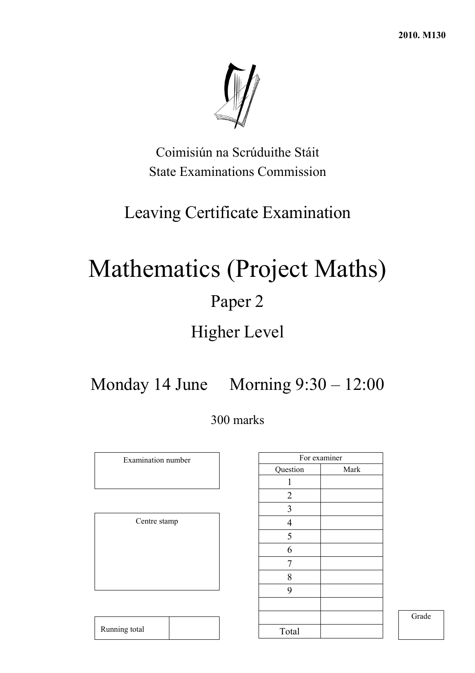**2010. M130** 



Coimisiún na Scrúduithe Stáit State Examinations Commission

# Leaving Certificate Examination

# Mathematics (Project Maths) Paper 2

# Higher Level

Monday 14 June Morning 9:30 – 12:00

300 marks

Examination number

Centre stamp

Running total

|                         | For examiner |
|-------------------------|--------------|
| Question                | Mark         |
| 1                       |              |
| $\overline{2}$          |              |
| $\overline{\mathbf{3}}$ |              |
| $\overline{4}$          |              |
| 5                       |              |
| 6                       |              |
| 7                       |              |
| 8                       |              |
| 9                       |              |
|                         |              |
|                         |              |
| Total                   |              |

Grade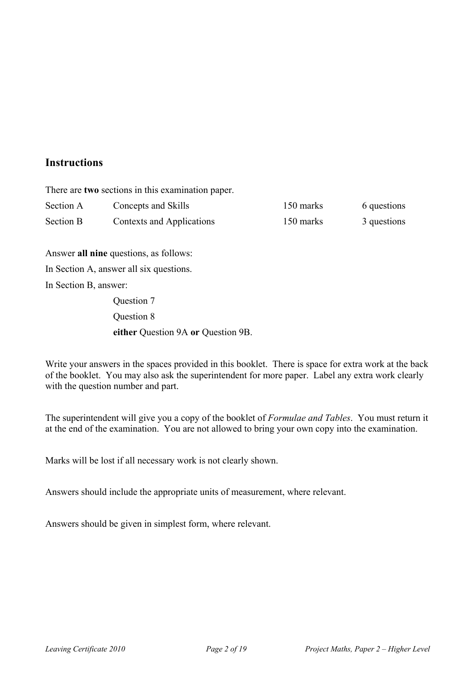### **Instructions**

There are **two** sections in this examination paper.

| Section A | Concepts and Skills       | 150 marks | 6 questions |
|-----------|---------------------------|-----------|-------------|
| Section B | Contexts and Applications | 150 marks | 3 questions |

Answer **all nine** questions, as follows:

In Section A, answer all six questions.

In Section B, answer:

 Question 7 Question 8 **either** Question 9A **or** Question 9B.

Write your answers in the spaces provided in this booklet. There is space for extra work at the back of the booklet. You may also ask the superintendent for more paper. Label any extra work clearly with the question number and part.

The superintendent will give you a copy of the booklet of *Formulae and Tables*. You must return it at the end of the examination. You are not allowed to bring your own copy into the examination.

Marks will be lost if all necessary work is not clearly shown.

Answers should include the appropriate units of measurement, where relevant.

Answers should be given in simplest form, where relevant.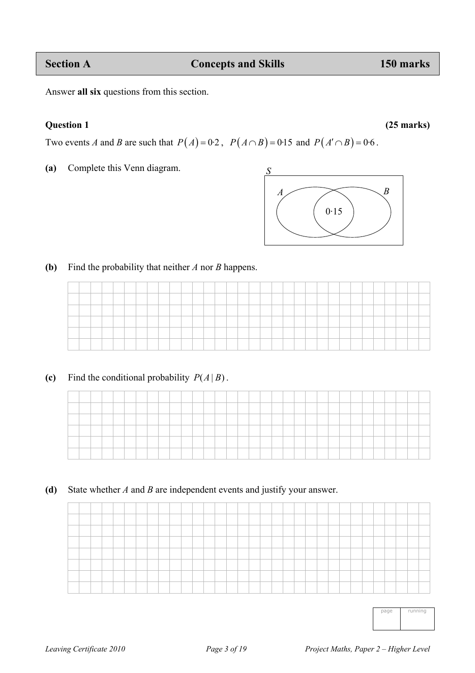Answer **all six** questions from this section.

**Question 1 (25 marks)** 

Two events *A* and *B* are such that  $P(A) = 0.2$ ,  $P(A \cap B) = 0.15$  and  $P(A' \cap B) = 0.6$ .

**(a)** Complete this Venn diagram.



**(b)** Find the probability that neither *A* nor *B* happens.

| the company of the company of |  | the control of the control of |  |  | ____ | ___ | the control of the control of | the control of the control of<br>______ | and the control of the con- |  |  | _____ | _____ | the control of the control of<br>_____ | ___ | and the control of the con- |  | and the control of the con- | _____ | the control of the control of |  |
|-------------------------------|--|-------------------------------|--|--|------|-----|-------------------------------|-----------------------------------------|-----------------------------|--|--|-------|-------|----------------------------------------|-----|-----------------------------|--|-----------------------------|-------|-------------------------------|--|
|                               |  |                               |  |  |      |     |                               |                                         |                             |  |  |       |       |                                        |     |                             |  |                             |       |                               |  |
|                               |  |                               |  |  |      |     |                               |                                         |                             |  |  |       |       |                                        |     |                             |  |                             |       |                               |  |
|                               |  |                               |  |  |      |     |                               |                                         |                             |  |  |       |       |                                        |     |                             |  |                             |       |                               |  |

**(c)** Find the conditional probability  $P(A|B)$ .

**(d)** State whether *A* and *B* are independent events and justify your answer.

| page | running |
|------|---------|
|      |         |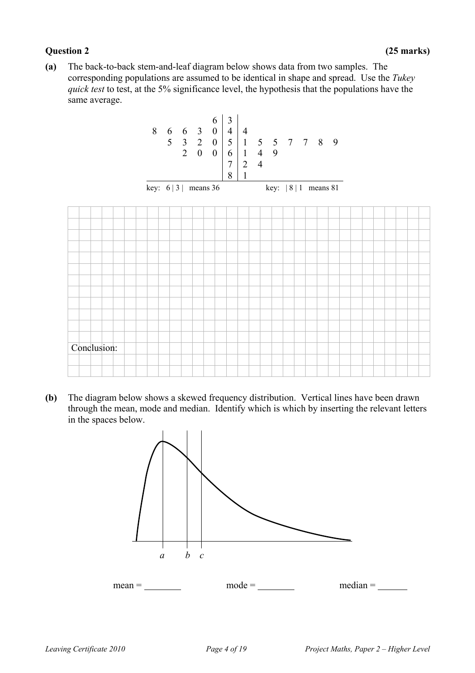#### **Question 2 (25 marks)**

**(a)** The back-to-back stem-and-leaf diagram below shows data from two samples. The corresponding populations are assumed to be identical in shape and spread. Use the *Tukey quick test* to test, at the 5% significance level, the hypothesis that the populations have the same average.



**(b)** The diagram below shows a skewed frequency distribution. Vertical lines have been drawn through the mean, mode and median. Identify which is which by inserting the relevant letters in the spaces below.

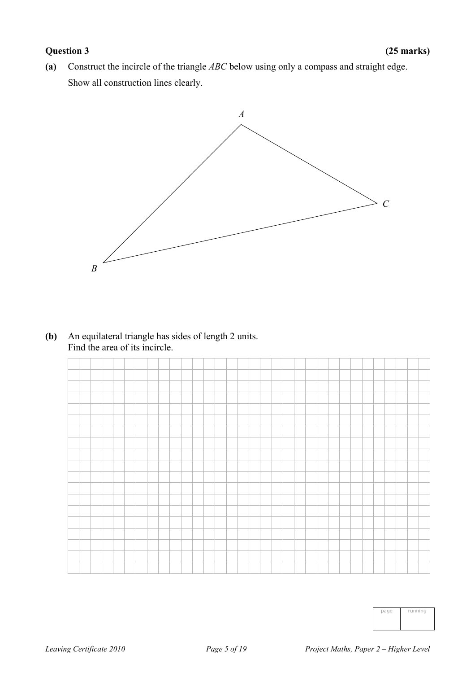### **Question 3 (25 marks)**

**(a)** Construct the incircle of the triangle *ABC* below using only a compass and straight edge. Show all construction lines clearly.



### **(b)** An equilateral triangle has sides of length 2 units. Find the area of its incircle.

| page | running |
|------|---------|
|      |         |
|      |         |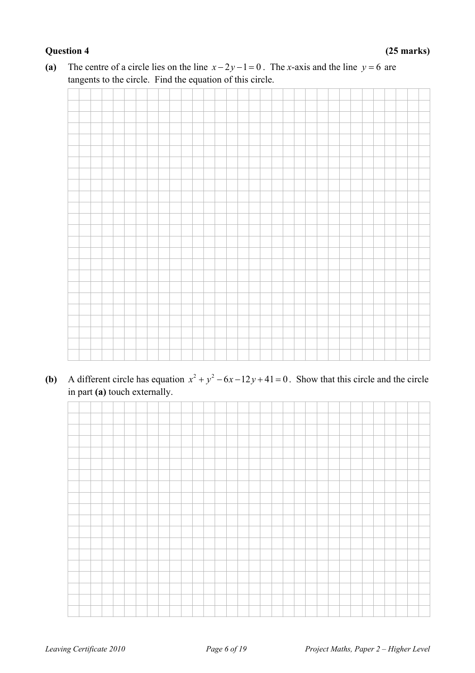### **Question 4 (25 marks)**

**(a)** The centre of a circle lies on the line  $x - 2y - 1 = 0$ . The *x*-axis and the line  $y = 6$  are tangents to the circle. Find the equation of this circle.

**(b)** A different circle has equation  $x^2 + y^2 - 6x - 12y + 41 = 0$ . Show that this circle and the circle in part **(a)** touch externally.

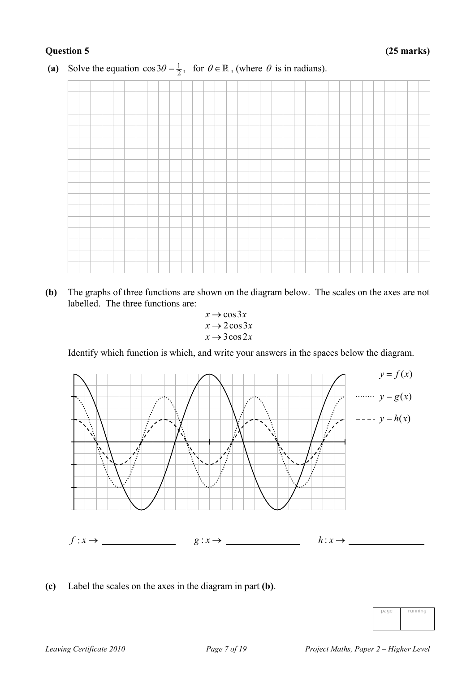

(a) Solve the equation  $\cos 3\theta = \frac{1}{2}$ , for  $\theta \in \mathbb{R}$ , (where  $\theta$  is in radians).

- **(b)** The graphs of three functions are shown on the diagram below. The scales on the axes are not labelled. The three functions are:
	- $x \rightarrow \cos 3x$  $x \rightarrow 2 \cos 3x$  $x \rightarrow 3\cos 2x$

Identify which function is which, and write your answers in the spaces below the diagram.



**(c)** Label the scales on the axes in the diagram in part **(b)**.

| page | running |
|------|---------|
|      |         |
|      |         |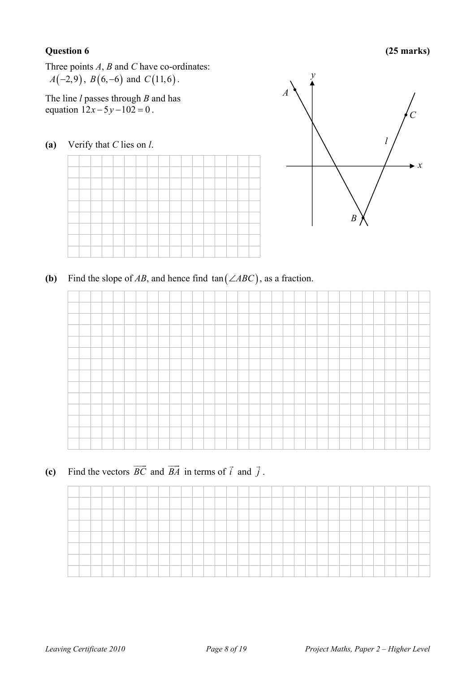### **Question 6 (25 marks)**

Three points *A*, *B* and *C* have co-ordinates: *A*( $-2,9$ ), *B*( $6, -6$ ) and *C*( $11,6$ ).

The line *l* passes through *B* and has equation  $12x - 5y - 102 = 0$ .

**(a)** Verify that *C* lies on *l*.



**(b)** Find the slope of *AB*, and hence find  $tan(\angle ABC)$ , as a fraction.

(c) Find the vectors  $\overrightarrow{BC}$  and  $\overrightarrow{BA}$  in terms of *i*  $\rightarrow$  and *j*  $\rightarrow$ .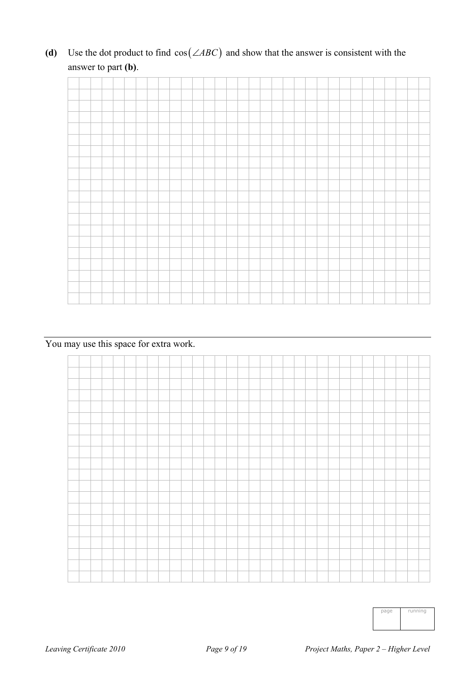(d) Use the dot product to find  $cos(\angle ABC)$  and show that the answer is consistent with the answer to part **(b)**.

You may use this space for extra work.



| page | running |
|------|---------|
|      |         |
|      |         |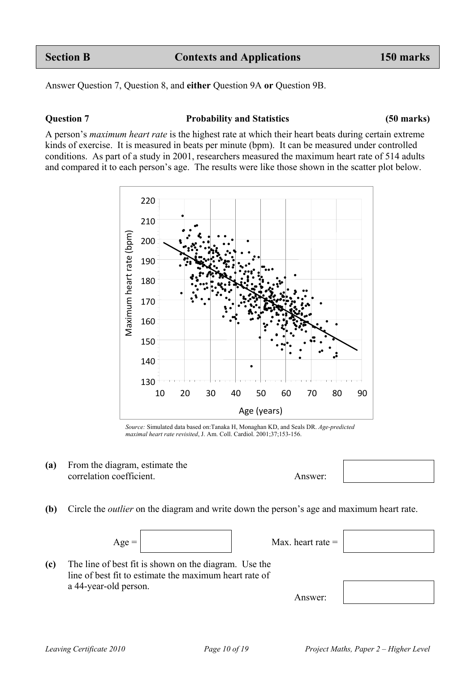Answer Question 7, Question 8, and **either** Question 9A **or** Question 9B.

#### **Question 7 Probability and Statistics (50 marks)**

A person's *maximum heart rate* is the highest rate at which their heart beats during certain extreme kinds of exercise. It is measured in beats per minute (bpm). It can be measured under controlled conditions. As part of a study in 2001, researchers measured the maximum heart rate of 514 adults and compared it to each person's age. The results were like those shown in the scatter plot below.



- **(a)** From the diagram, estimate the correlation coefficient. Answer:
- **(b)** Circle the *outlier* on the diagram and write down the person's age and maximum heart rate.





Answer:



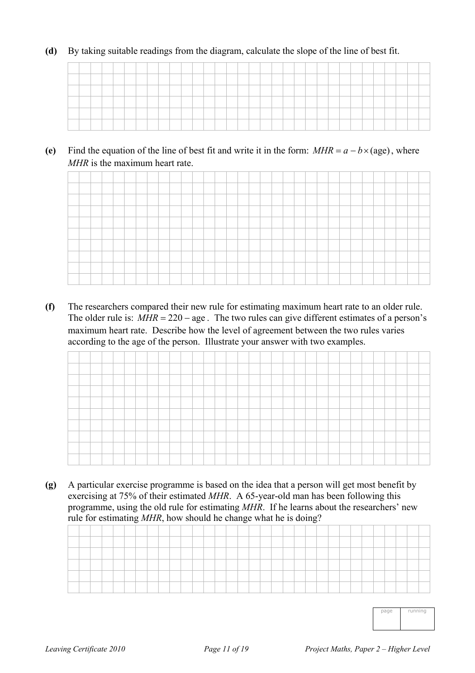#### **(d)** By taking suitable readings from the diagram, calculate the slope of the line of best fit.

(e) Find the equation of the line of best fit and write it in the form:  $MHR = a - b \times (age)$ , where *MHR* is the maximum heart rate.

**(f)** The researchers compared their new rule for estimating maximum heart rate to an older rule. The older rule is:  $MHR = 220 - age$ . The two rules can give different estimates of a person's maximum heart rate. Describe how the level of agreement between the two rules varies according to the age of the person. Illustrate your answer with two examples.

**(g)** A particular exercise programme is based on the idea that a person will get most benefit by exercising at 75% of their estimated *MHR*. A 65-year-old man has been following this programme, using the old rule for estimating *MHR*. If he learns about the researchers' new rule for estimating *MHR*, how should he change what he is doing?

| <b><i><u>Property Contract Contract Contract Contract Contract Contract Contract Contract Contract Contract Contract Contract Contract Contract Contract Contract Contract Contract Contract Contract Contract Contract Contract Con</u></i></b> |  |  |  |  |  |  |  |  |  |  |  |  |  |  |  |  |
|--------------------------------------------------------------------------------------------------------------------------------------------------------------------------------------------------------------------------------------------------|--|--|--|--|--|--|--|--|--|--|--|--|--|--|--|--|
|                                                                                                                                                                                                                                                  |  |  |  |  |  |  |  |  |  |  |  |  |  |  |  |  |
|                                                                                                                                                                                                                                                  |  |  |  |  |  |  |  |  |  |  |  |  |  |  |  |  |
|                                                                                                                                                                                                                                                  |  |  |  |  |  |  |  |  |  |  |  |  |  |  |  |  |

page running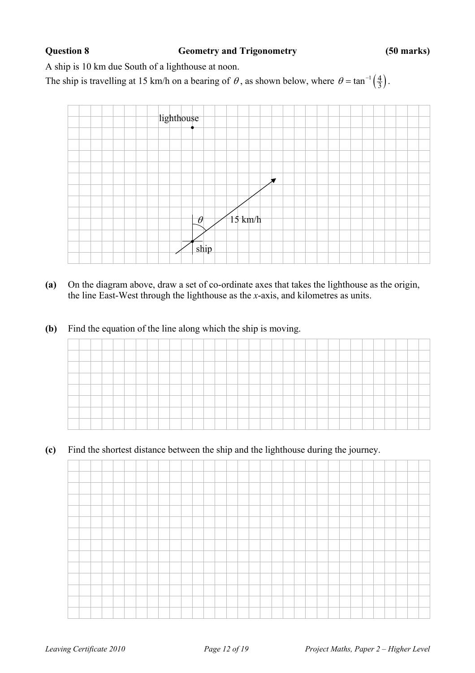#### **Question 8 Geometry and Trigonometry (50 marks)**

A ship is 10 km due South of a lighthouse at noon.

The ship is travelling at 15 km/h on a bearing of  $\theta$ , as shown below, where  $\theta = \tan^{-1} \left( \frac{4}{3} \right)$ .



- **(a)** On the diagram above, draw a set of co-ordinate axes that takes the lighthouse as the origin, the line East-West through the lighthouse as the *x*-axis, and kilometres as units.
- **(b)** Find the equation of the line along which the ship is moving.

**(c)** Find the shortest distance between the ship and the lighthouse during the journey.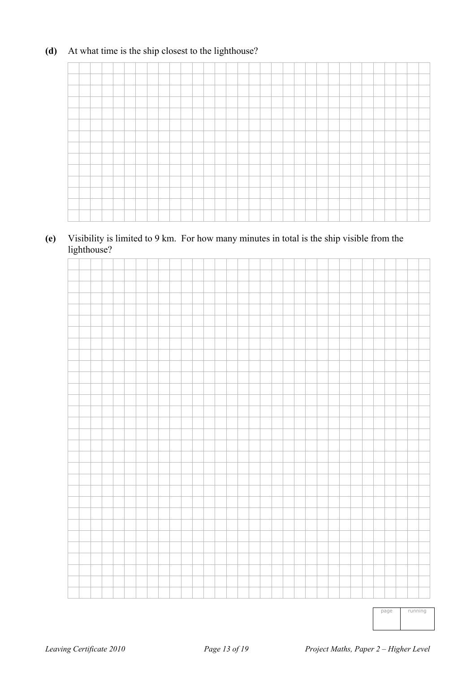### **(d)** At what time is the ship closest to the lighthouse?

### **(e)** Visibility is limited to 9 km. For how many minutes in total is the ship visible from the lighthouse?



page running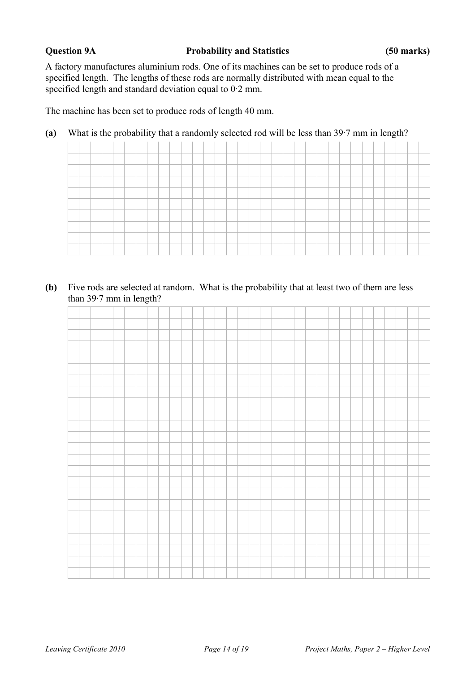A factory manufactures aluminium rods. One of its machines can be set to produce rods of a specified length. The lengths of these rods are normally distributed with mean equal to the specified length and standard deviation equal to 0·2 mm.

The machine has been set to produce rods of length 40 mm.

**(a)** What is the probability that a randomly selected rod will be less than 39·7 mm in length?

**(b)** Five rods are selected at random. What is the probability that at least two of them are less than 39·7 mm in length?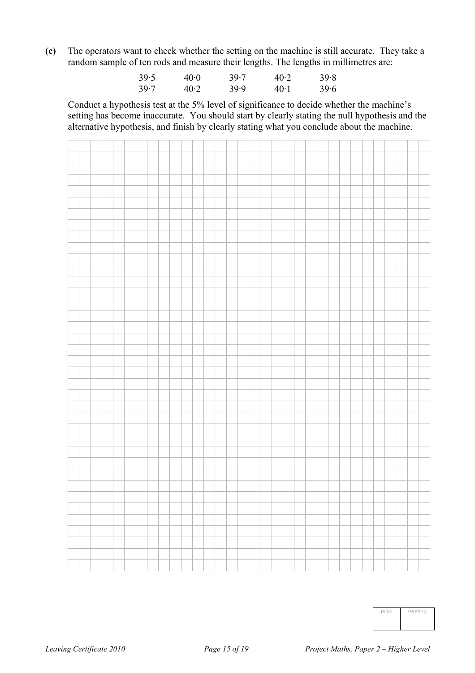**(c)** The operators want to check whether the setting on the machine is still accurate. They take a random sample of ten rods and measure their lengths. The lengths in millimetres are:

| 39.5 | $40-0$ | 39.7 | 40.2   | 39.8 |
|------|--------|------|--------|------|
| 39.7 | 40.2   | 39.9 | $40-1$ | 39.6 |

 Conduct a hypothesis test at the 5% level of significance to decide whether the machine's setting has become inaccurate. You should start by clearly stating the null hypothesis and the alternative hypothesis, and finish by clearly stating what you conclude about the machine.



| page | running |
|------|---------|
|      |         |
|      |         |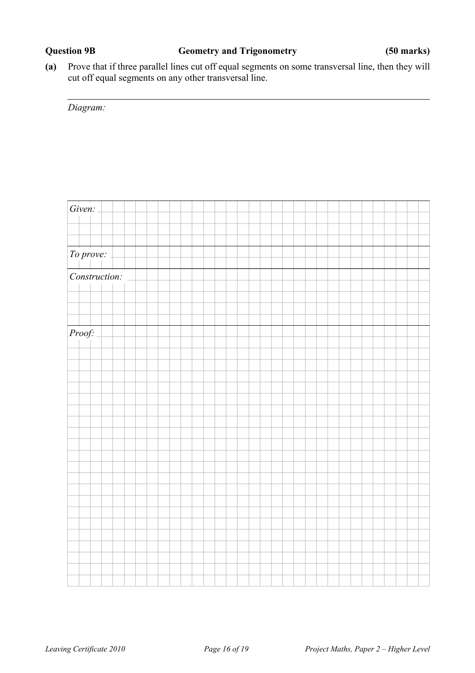**(a)** Prove that if three parallel lines cut off equal segments on some transversal line, then they will cut off equal segments on any other transversal line.

*Diagram:* 

| Given:        |  |  |  |  |  |  |  |  |  |  |  |  |
|---------------|--|--|--|--|--|--|--|--|--|--|--|--|
|               |  |  |  |  |  |  |  |  |  |  |  |  |
|               |  |  |  |  |  |  |  |  |  |  |  |  |
|               |  |  |  |  |  |  |  |  |  |  |  |  |
| To prove:     |  |  |  |  |  |  |  |  |  |  |  |  |
|               |  |  |  |  |  |  |  |  |  |  |  |  |
| Construction: |  |  |  |  |  |  |  |  |  |  |  |  |
|               |  |  |  |  |  |  |  |  |  |  |  |  |
|               |  |  |  |  |  |  |  |  |  |  |  |  |
|               |  |  |  |  |  |  |  |  |  |  |  |  |
|               |  |  |  |  |  |  |  |  |  |  |  |  |
| Proof:        |  |  |  |  |  |  |  |  |  |  |  |  |
|               |  |  |  |  |  |  |  |  |  |  |  |  |
|               |  |  |  |  |  |  |  |  |  |  |  |  |
|               |  |  |  |  |  |  |  |  |  |  |  |  |
|               |  |  |  |  |  |  |  |  |  |  |  |  |
|               |  |  |  |  |  |  |  |  |  |  |  |  |
|               |  |  |  |  |  |  |  |  |  |  |  |  |
|               |  |  |  |  |  |  |  |  |  |  |  |  |
|               |  |  |  |  |  |  |  |  |  |  |  |  |
|               |  |  |  |  |  |  |  |  |  |  |  |  |
|               |  |  |  |  |  |  |  |  |  |  |  |  |
|               |  |  |  |  |  |  |  |  |  |  |  |  |
|               |  |  |  |  |  |  |  |  |  |  |  |  |
|               |  |  |  |  |  |  |  |  |  |  |  |  |
|               |  |  |  |  |  |  |  |  |  |  |  |  |
|               |  |  |  |  |  |  |  |  |  |  |  |  |
|               |  |  |  |  |  |  |  |  |  |  |  |  |
|               |  |  |  |  |  |  |  |  |  |  |  |  |
|               |  |  |  |  |  |  |  |  |  |  |  |  |
|               |  |  |  |  |  |  |  |  |  |  |  |  |
|               |  |  |  |  |  |  |  |  |  |  |  |  |
|               |  |  |  |  |  |  |  |  |  |  |  |  |
|               |  |  |  |  |  |  |  |  |  |  |  |  |
|               |  |  |  |  |  |  |  |  |  |  |  |  |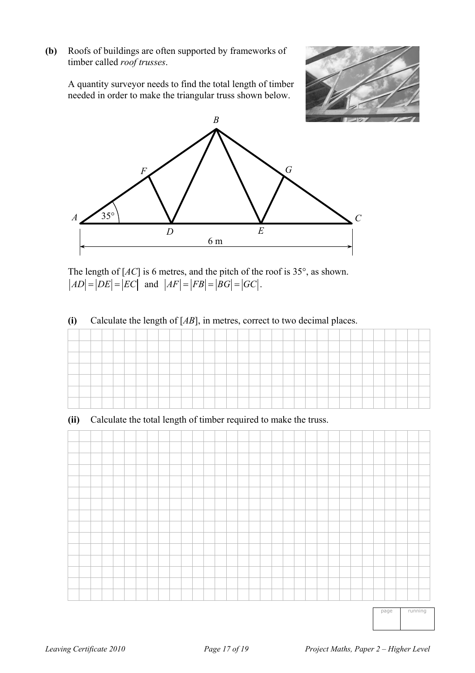**(b)** Roofs of buildings are often supported by frameworks of timber called *roof trusses*.

 A quantity surveyor needs to find the total length of timber needed in order to make the triangular truss shown below.





 The length of [*AC*] is 6 metres, and the pitch of the roof is 35°, as shown.  $|AD| = |DE| = |EC|$  and  $|AF| = |FB| = |BG| = |GC|$ .

#### **(i)** Calculate the length of [*AB*], in metres, correct to two decimal places.

#### **(ii)** Calculate the total length of timber required to make the truss.



page running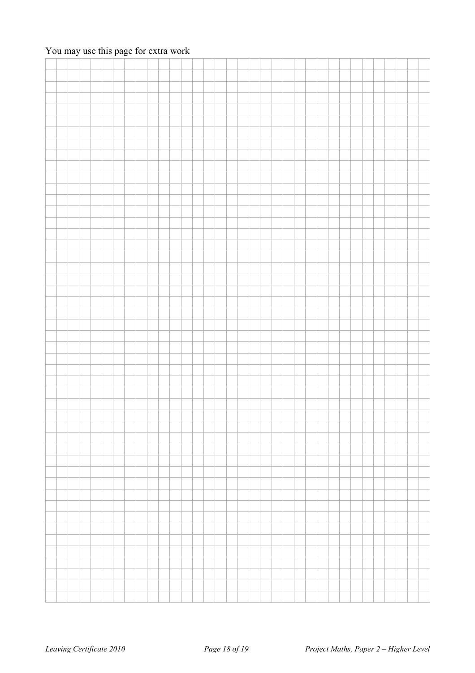### You may use this page for extra work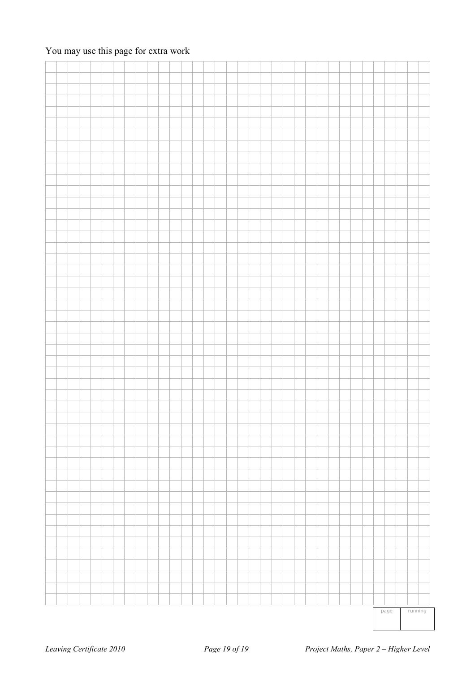### You may use this page for extra work